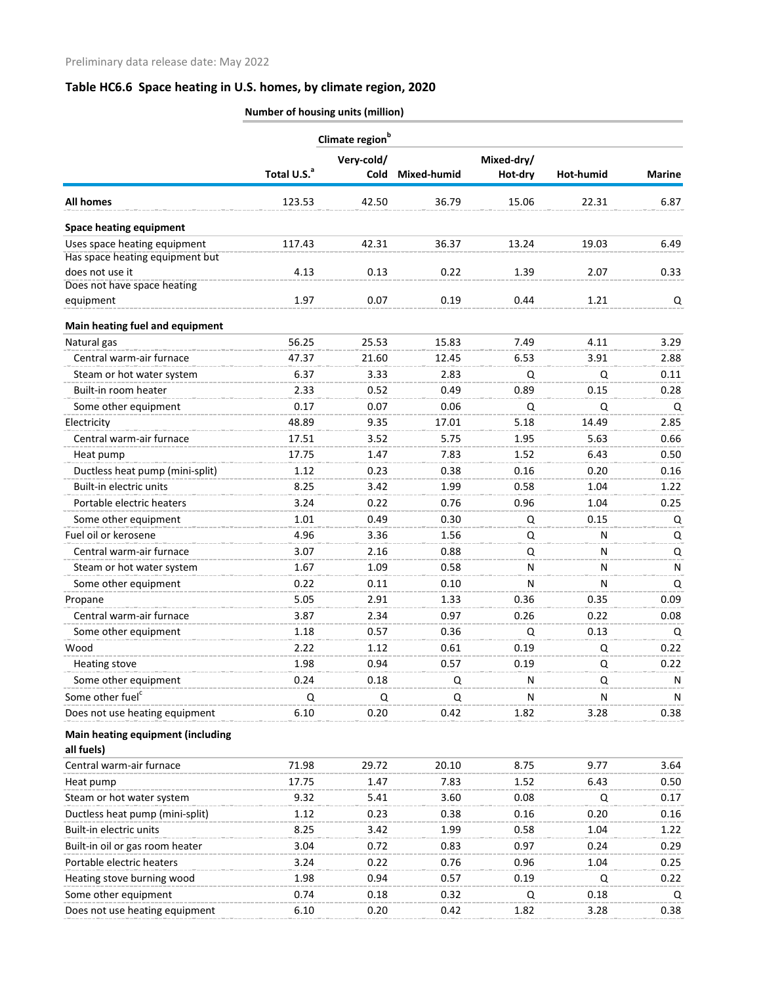|                                                 | Number of housing units (million) |                           |               |                       |           |               |
|-------------------------------------------------|-----------------------------------|---------------------------|---------------|-----------------------|-----------|---------------|
|                                                 | Climate region <sup>b</sup>       |                           |               |                       |           |               |
|                                                 | Total U.S. <sup>a</sup>           | Very-cold/<br><b>Cold</b> | Mixed-humid   | Mixed-dry/<br>Hot-dry | Hot-humid | <b>Marine</b> |
| <b>All homes</b>                                | 123.53                            | 42.50                     | 36.79         | 15.06                 | 22.31     | 6.87          |
| <b>Space heating equipment</b>                  |                                   |                           |               |                       |           |               |
| Uses space heating equipment                    | 117.43                            | 42.31                     | 36.37         | 13.24                 | 19.03     | 6.49          |
| Has space heating equipment but                 |                                   |                           |               |                       |           |               |
| does not use it<br>Does not have space heating  | 4.13                              | 0.13                      | 0.22          | 1.39                  | 2.07      | 0.33          |
| equipment                                       | 1.97                              | 0.07                      | 0.19          | 0.44                  | 1.21      | Q             |
|                                                 |                                   |                           |               |                       |           |               |
| Main heating fuel and equipment                 | 56.25                             |                           |               | 7.49                  | 4.11      |               |
| Natural gas<br>Central warm-air furnace         | 47.37                             | 25.53                     | 15.83         |                       |           | 3.29<br>2.88  |
| Steam or hot water system                       | 6.37                              | 21.60<br>3.33             | 12.45<br>2.83 | 6.53<br>Q             | 3.91<br>Q | 0.11          |
| Built-in room heater                            | 2.33                              | 0.52                      | 0.49          | 0.89                  | 0.15      | 0.28          |
| Some other equipment                            | 0.17                              | 0.07                      | 0.06          | Q                     | Q         | Q             |
| Electricity                                     | 48.89                             | 9.35                      | 17.01         | 5.18                  | 14.49     | 2.85          |
| Central warm-air furnace                        | 17.51                             | 3.52                      | 5.75          | 1.95                  | 5.63      | 0.66          |
| Heat pump                                       | 17.75                             | 1.47                      | 7.83          | 1.52                  | 6.43      | 0.50          |
| Ductless heat pump (mini-split)                 | 1.12                              | 0.23                      | 0.38          | 0.16                  | 0.20      | 0.16          |
| Built-in electric units                         | 8.25                              | 3.42                      | 1.99          | 0.58                  | 1.04      | 1.22          |
| Portable electric heaters                       | 3.24                              | 0.22                      | 0.76          | 0.96                  | 1.04      | 0.25          |
| Some other equipment                            | 1.01                              | 0.49                      | 0.30          | Q                     | 0.15      | Q             |
| Fuel oil or kerosene                            | 4.96                              | 3.36                      | 1.56          | Q                     | N         | Q             |
| Central warm-air furnace                        | 3.07                              | 2.16                      | 0.88          | Q                     | N         | Q             |
| Steam or hot water system                       | 1.67                              | 1.09                      | 0.58          | N                     | N         | N             |
| Some other equipment                            | 0.22                              | 0.11                      | 0.10          | N                     | Ν         | Q             |
| Propane                                         | 5.05                              | 2.91                      | 1.33          | 0.36                  | 0.35      | 0.09          |
| Central warm-air furnace                        | 3.87                              | 2.34                      | 0.97          | 0.26                  | 0.22      | 0.08          |
| Some other equipment                            | 1.18                              | 0.57                      | 0.36          | Q                     | 0.13      | Q             |
| Wood                                            | 2.22                              | 1.12                      | 0.61          | 0.19                  | Q         | 0.22          |
| <b>Heating stove</b>                            | 1.98                              | 0.94                      | 0.57          | 0.19                  | Q         | 0.22          |
| Some other equipment                            | 0.24                              | 0.18                      | Q             | N                     | Q         | N             |
| Some other fuel <sup>c</sup>                    | Q                                 | Q                         | Q             | N                     | N         | N             |
| Does not use heating equipment                  | 6.10                              | 0.20                      | 0.42          | 1.82                  | 3.28      | 0.38          |
| Main heating equipment (including<br>all fuels) |                                   |                           |               |                       |           |               |
| Central warm-air furnace                        | 71.98                             | 29.72                     | 20.10         | 8.75                  | 9.77      | 3.64          |
| Heat pump                                       | 17.75                             | 1.47                      | 7.83          | 1.52                  | 6.43      | 0.50          |
| Steam or hot water system                       | 9.32                              | 5.41                      | 3.60          | 0.08                  | Q         | 0.17          |
| Ductless heat pump (mini-split)                 | 1.12                              | 0.23                      | 0.38          | 0.16                  | 0.20      | 0.16          |
| Built-in electric units                         | 8.25                              | 3.42                      | 1.99          | 0.58                  | 1.04      | 1.22          |
| Built-in oil or gas room heater                 | 3.04                              | 0.72                      | 0.83          | 0.97                  | 0.24      | 0.29          |
| Portable electric heaters                       | 3.24                              | 0.22                      | 0.76          | 0.96                  | 1.04      | 0.25          |
| Heating stove burning wood                      | 1.98                              | 0.94                      | 0.57          | 0.19                  | Q         | 0.22          |
| Some other equipment                            | 0.74                              | 0.18                      | 0.32          | Q                     | 0.18      | Q             |
| Does not use heating equipment                  | 6.10                              | 0.20                      | 0.42          | 1.82                  | 3.28      | 0.38          |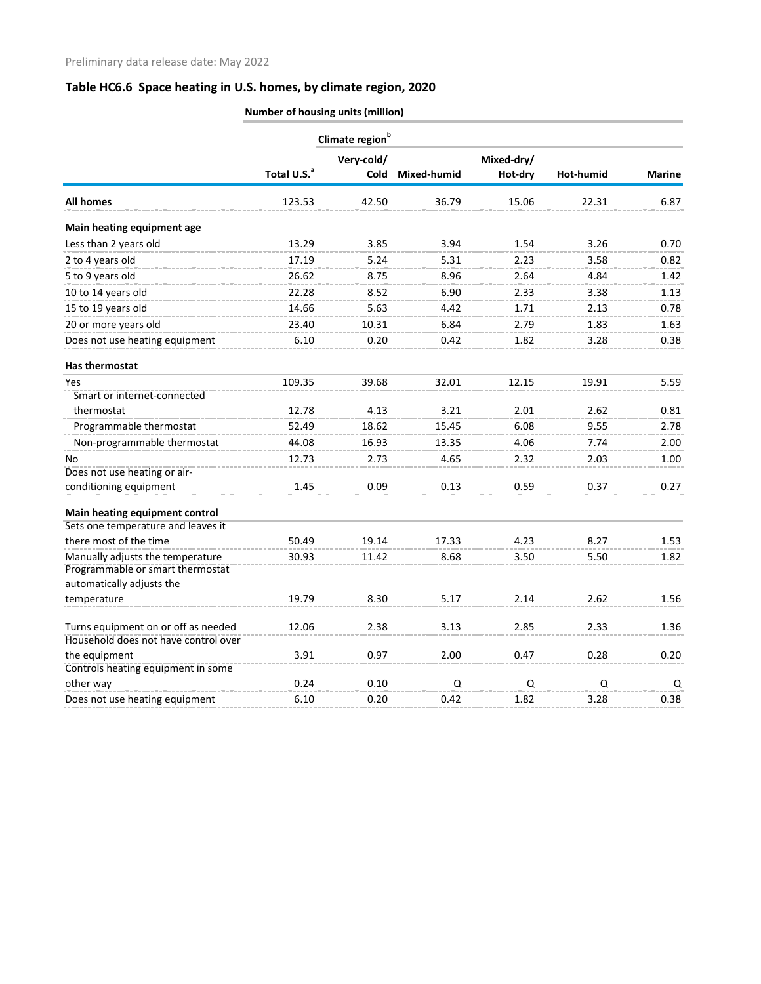|                                                                      | Climate region <sup>b</sup> |            |             |            |                  |               |
|----------------------------------------------------------------------|-----------------------------|------------|-------------|------------|------------------|---------------|
|                                                                      |                             | Very-cold/ |             | Mixed-dry/ |                  |               |
|                                                                      | Total U.S. <sup>a</sup>     | Cold       | Mixed-humid | Hot-dry    | <b>Hot-humid</b> | <b>Marine</b> |
| <b>All homes</b>                                                     | 123.53                      | 42.50      | 36.79       | 15.06      | 22.31            | 6.87          |
| Main heating equipment age                                           |                             |            |             |            |                  |               |
| Less than 2 years old                                                | 13.29                       | 3.85       | 3.94        | 1.54       | 3.26             | 0.70          |
| 2 to 4 years old                                                     | 17.19                       | 5.24       | 5.31        | 2.23       | 3.58             | 0.82          |
| 5 to 9 years old                                                     | 26.62                       | 8.75       | 8.96        | 2.64       | 4.84             | 1.42          |
| 10 to 14 years old                                                   | 22.28                       | 8.52       | 6.90        | 2.33       | 3.38             | 1.13          |
| 15 to 19 years old                                                   | 14.66                       | 5.63       | 4.42        | 1.71       | 2.13             | 0.78          |
| 20 or more years old                                                 | 23.40                       | 10.31      | 6.84        | 2.79       | 1.83             | 1.63          |
| Does not use heating equipment                                       | 6.10                        | 0.20       | 0.42        | 1.82       | 3.28             | 0.38          |
| Has thermostat                                                       |                             |            |             |            |                  |               |
| Yes                                                                  | 109.35                      | 39.68      | 32.01       | 12.15      | 19.91            | 5.59          |
| Smart or internet-connected                                          |                             |            |             |            |                  |               |
| thermostat                                                           | 12.78                       | 4.13       | 3.21        | 2.01       | 2.62             | 0.81          |
| Programmable thermostat                                              | 52.49                       | 18.62      | 15.45       | 6.08       | 9.55             | 2.78          |
| Non-programmable thermostat                                          | 44.08                       | 16.93      | 13.35       | 4.06       | 7.74             | 2.00          |
| No                                                                   | 12.73                       | 2.73       | 4.65        | 2.32       | 2.03             | 1.00          |
| Does not use heating or air-                                         |                             |            |             |            |                  |               |
| conditioning equipment                                               | 1.45                        | 0.09       | 0.13        | 0.59       | 0.37             | 0.27          |
| Main heating equipment control                                       |                             |            |             |            |                  |               |
| Sets one temperature and leaves it                                   |                             |            |             |            |                  |               |
| there most of the time                                               | 50.49                       | 19.14      | 17.33       | 4.23       | 8.27             | 1.53          |
| Manually adjusts the temperature<br>Programmable or smart thermostat | 30.93                       | 11.42      | 8.68        | 3.50       | 5.50             | 1.82          |
| automatically adjusts the                                            |                             |            |             |            |                  |               |
| temperature                                                          | 19.79                       | 8.30       | 5.17        | 2.14       | 2.62             | 1.56          |
| Turns equipment on or off as needed                                  | 12.06                       | 2.38       | 3.13        | 2.85       | 2.33             | 1.36          |
| Household does not have control over                                 |                             |            |             |            |                  |               |
| the equipment                                                        | 3.91                        | 0.97       | 2.00        | 0.47       | 0.28             | 0.20          |
| Controls heating equipment in some<br>other way                      | 0.24                        | 0.10       | Q           | Q          | Q                | Q             |
| Does not use heating equipment                                       | 6.10                        | 0.20       | 0.42        | 1.82       | 3.28             | 0.38          |

**Number of housing units (million)**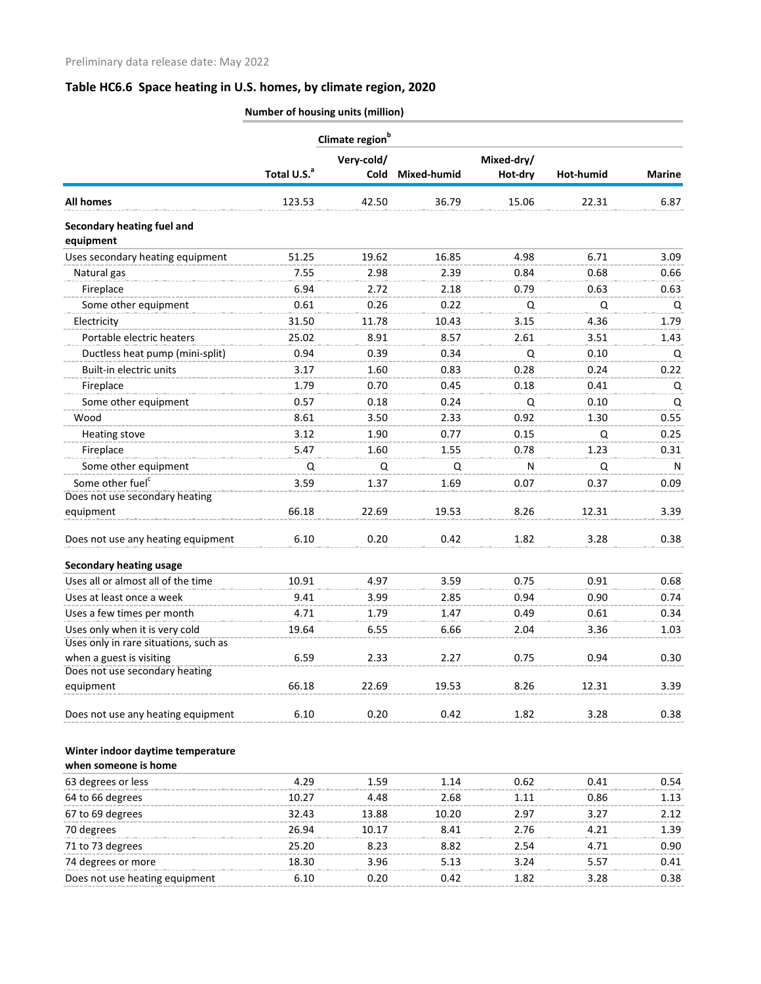|                                         | Climate region <sup>b</sup> |            |                  |            |           |               |
|-----------------------------------------|-----------------------------|------------|------------------|------------|-----------|---------------|
|                                         |                             | Very-cold/ |                  | Mixed-dry/ |           |               |
|                                         | Total U.S. <sup>a</sup>     |            | Cold Mixed-humid | Hot-dry    | Hot-humid | <b>Marine</b> |
| <b>All homes</b>                        | 123.53                      | 42.50      | 36.79            | 15.06      | 22.31     | 6.87          |
| Secondary heating fuel and<br>equipment |                             |            |                  |            |           |               |
| Uses secondary heating equipment        | 51.25                       | 19.62      | 16.85            | 4.98       | 6.71      | 3.09          |
| Natural gas                             | 7.55                        | 2.98       | 2.39             | 0.84       | 0.68      | 0.66          |
| Fireplace                               | 6.94                        | 2.72       | 2.18             | 0.79       | 0.63      | 0.63          |
| Some other equipment                    | 0.61                        | 0.26       | 0.22             | Q          | Q         | Q             |
| Electricity                             | 31.50                       | 11.78      | 10.43            | 3.15       | 4.36      | 1.79          |
| Portable electric heaters               | 25.02                       | 8.91       | 8.57             | 2.61       | 3.51      | 1.43          |
| Ductless heat pump (mini-split)         | 0.94                        | 0.39       | 0.34             | Q          | 0.10      | Q             |
| Built-in electric units                 | 3.17                        | 1.60       | 0.83             | 0.28       | 0.24      | 0.22          |
| Fireplace                               | 1.79                        | 0.70       | 0.45             | 0.18       | 0.41      | Q             |
| Some other equipment                    | 0.57                        | 0.18       | 0.24             | Q          | 0.10      | Q             |
| Wood                                    | 8.61                        | 3.50       | 2.33             | 0.92       | 1.30      | 0.55          |
| Heating stove                           | 3.12                        | 1.90       | 0.77             | 0.15       | Q         | 0.25          |
| Fireplace                               | 5.47                        | 1.60       | 1.55             | 0.78       | 1.23      | 0.31          |
| Some other equipment                    | Q                           | Q          | Q                | N          | Q         | $\mathsf{N}$  |
| Some other fuel <sup>c</sup>            | 3.59                        | 1.37       | 1.69             | 0.07       | 0.37      | 0.09          |
| Does not use secondary heating          |                             |            |                  |            |           |               |
| equipment                               | 66.18                       | 22.69      | 19.53            | 8.26       | 12.31     | 3.39          |
| Does not use any heating equipment      | 6.10                        | 0.20       | 0.42             | 1.82       | 3.28      | 0.38          |
| <b>Secondary heating usage</b>          |                             |            |                  |            |           |               |
| Uses all or almost all of the time      | 10.91                       | 4.97       | 3.59             | 0.75       | 0.91      | 0.68          |
| Uses at least once a week               | 9.41                        | 3.99       | 2.85             | 0.94       | 0.90      | 0.74          |
| Uses a few times per month              | 4.71                        | 1.79       | 1.47             | 0.49       | 0.61      | 0.34          |
| Uses only when it is very cold          | 19.64                       | 6.55       | 6.66             | 2.04       | 3.36      | 1.03          |
| Uses only in rare situations, such as   |                             |            |                  |            |           |               |
| when a guest is visiting                | 6.59                        | 2.33       | 2.27             | 0.75       | 0.94      | 0.30          |
| Does not use secondary heating          |                             |            |                  |            |           |               |
| equipment                               | 66.18                       | 22.69      | 19.53            | 8.26       | 12.31     | 3.39          |
| Does not use any heating equipment      | 6.10                        | 0.20       | 0.42             | 1.82       | 3.28      | 0.38          |
| Winter indoor daytime temperature       |                             |            |                  |            |           |               |
| when someone is home                    |                             |            |                  |            |           |               |
| 63 degrees or less                      | 4.29                        | 1.59       | 1.14             | 0.62       | 0.41      | 0.54          |
| 64 to 66 degrees                        | 10.27                       | 4.48       | 2.68             | 1.11       | 0.86      | 1.13          |
| 67 to 69 degrees                        | 32.43                       | 13.88      | 10.20            | 2.97       | 3.27      | 2.12          |
| 70 degrees                              | 26.94                       | 10.17      | 8.41             | 2.76       | 4.21      | 1.39          |
| 71 to 73 degrees                        | 25.20                       | 8.23       | 8.82             | 2.54       | 4.71      | 0.90          |
| 74 degrees or more                      | 18.30                       | 3.96       | 5.13             | 3.24       | 5.57      | 0.41          |
| Does not use heating equipment          | 6.10                        | 0.20       | 0.42             | 1.82       | 3.28      | 0.38          |
|                                         |                             |            |                  |            |           |               |

**Number of housing units (million)**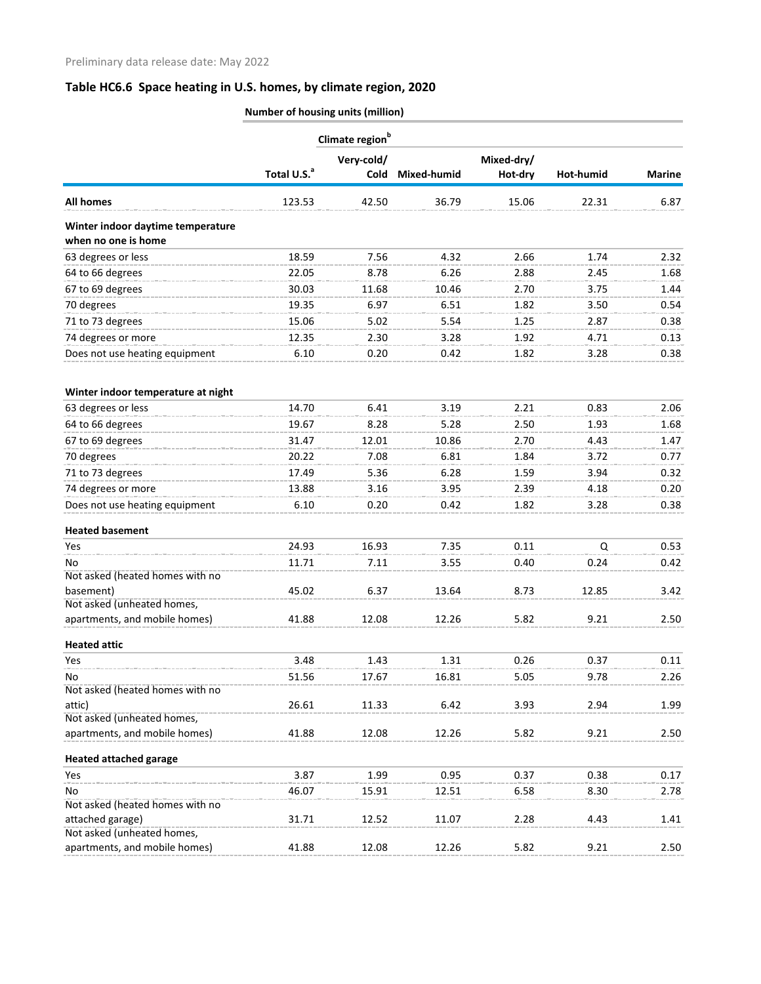|                                    | Climate region <sup>b</sup> |             |             |            |           |               |  |
|------------------------------------|-----------------------------|-------------|-------------|------------|-----------|---------------|--|
|                                    |                             | Very-cold/  |             | Mixed-dry/ |           |               |  |
|                                    | Total U.S. <sup>a</sup>     | <b>Cold</b> | Mixed-humid | Hot-dry    | Hot-humid | <b>Marine</b> |  |
| <b>All homes</b>                   | 123.53                      | 42.50       | 36.79       | 15.06      | 22.31     | 6.87          |  |
| Winter indoor daytime temperature  |                             |             |             |            |           |               |  |
| when no one is home                |                             |             |             |            |           |               |  |
| 63 degrees or less                 | 18.59                       | 7.56        | 4.32        | 2.66       | 1.74      | 2.32          |  |
| 64 to 66 degrees                   | 22.05                       | 8.78        | 6.26        | 2.88       | 2.45      | 1.68          |  |
| 67 to 69 degrees                   | 30.03                       | 11.68       | 10.46       | 2.70       | 3.75      | 1.44          |  |
| 70 degrees                         | 19.35                       | 6.97        | 6.51        | 1.82       | 3.50      | 0.54          |  |
| 71 to 73 degrees                   | 15.06                       | 5.02        | 5.54        | 1.25       | 2.87      | 0.38          |  |
| 74 degrees or more                 | 12.35                       | 2.30        | 3.28        | 1.92       | 4.71      | 0.13          |  |
| Does not use heating equipment     | 6.10                        | 0.20        | 0.42        | 1.82       | 3.28      | 0.38          |  |
| Winter indoor temperature at night |                             |             |             |            |           |               |  |
| 63 degrees or less                 | 14.70                       | 6.41        | 3.19        | 2.21       | 0.83      | 2.06          |  |
| 64 to 66 degrees                   | 19.67                       | 8.28        | 5.28        | 2.50       | 1.93      | 1.68          |  |
| 67 to 69 degrees                   | 31.47                       | 12.01       | 10.86       | 2.70       | 4.43      | 1.47          |  |
|                                    |                             |             |             |            |           |               |  |
| 70 degrees                         | 20.22                       | 7.08        | 6.81        | 1.84       | 3.72      | 0.77          |  |
| 71 to 73 degrees                   | 17.49                       | 5.36        | 6.28        | 1.59       | 3.94      | 0.32          |  |
| 74 degrees or more                 | 13.88                       | 3.16        | 3.95        | 2.39       | 4.18      | 0.20          |  |
| Does not use heating equipment     | 6.10                        | 0.20        | 0.42        | 1.82       | 3.28      | 0.38          |  |
| <b>Heated basement</b>             |                             |             |             |            |           |               |  |
| Yes                                | 24.93                       | 16.93       | 7.35        | 0.11       | Q         | 0.53          |  |
| No                                 | 11.71                       | 7.11        | 3.55        | 0.40       | 0.24      | 0.42          |  |
| Not asked (heated homes with no    |                             |             |             |            |           |               |  |
| basement)                          | 45.02                       | 6.37        | 13.64       | 8.73       | 12.85     | 3.42          |  |
| Not asked (unheated homes,         |                             |             |             |            |           |               |  |
| apartments, and mobile homes)      | 41.88                       | 12.08       | 12.26       | 5.82       | 9.21      | 2.50          |  |
| <b>Heated attic</b>                |                             |             |             |            |           |               |  |
| Yes                                | 3.48                        | 1.43        | 1.31        | 0.26       | 0.37      | 0.11          |  |
| No                                 | 51.56                       | 17.67       | 16.81       | 5.05       | 9.78      | 2.26          |  |
| Not asked (heated homes with no    |                             |             |             |            |           |               |  |
| attic)                             | 26.61                       | 11.33       | 6.42        | 3.93       | 2.94      | 1.99          |  |
| Not asked (unheated homes,         |                             |             |             |            |           |               |  |
| apartments, and mobile homes)      | 41.88                       | 12.08       | 12.26       | 5.82       | 9.21      | 2.50          |  |
| <b>Heated attached garage</b>      |                             |             |             |            |           |               |  |
| Yes                                | 3.87                        | 1.99        | 0.95        | 0.37       | 0.38      | 0.17          |  |
| No                                 | 46.07                       | 15.91       | 12.51       | 6.58       | 8.30      | 2.78          |  |
| Not asked (heated homes with no    |                             |             |             |            |           |               |  |
| attached garage)                   | 31.71                       | 12.52       | 11.07       | 2.28       | 4.43      | 1.41          |  |
| Not asked (unheated homes,         |                             |             |             |            |           |               |  |
| apartments, and mobile homes)      | 41.88                       | 12.08       | 12.26       | 5.82       | 9.21      | 2.50          |  |

**Number of housing units (million)**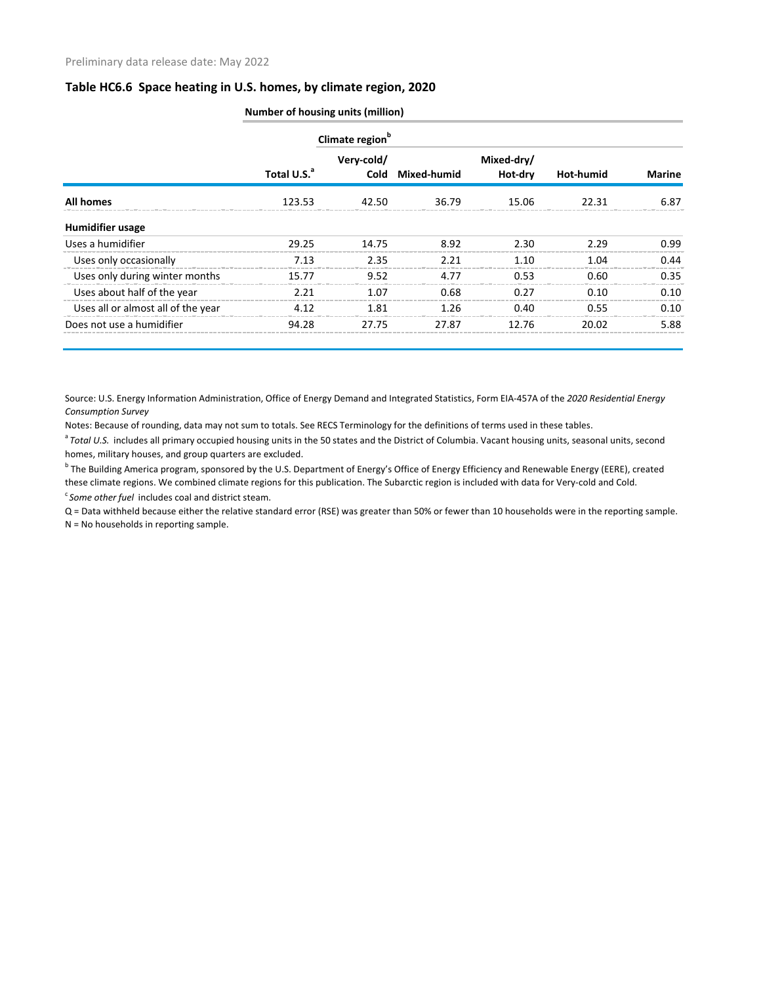|                                    | Number of housing units (million) |                             |                  |                       |           |               |  |  |
|------------------------------------|-----------------------------------|-----------------------------|------------------|-----------------------|-----------|---------------|--|--|
|                                    |                                   | Climate region <sup>b</sup> |                  |                       |           |               |  |  |
|                                    | Total U.S. <sup>a</sup>           | Very-cold/                  | Cold Mixed-humid | Mixed-dry/<br>Hot-dry | Hot-humid | <b>Marine</b> |  |  |
| <b>All homes</b>                   | 123.53                            | 42.50                       | 36.79            | 15.06                 | 22.31     | 6.87          |  |  |
| <b>Humidifier usage</b>            |                                   |                             |                  |                       |           |               |  |  |
| Uses a humidifier                  | 29.25                             | 14.75                       | 8.92             | 2.30                  | 2.29      | 0.99          |  |  |
| Uses only occasionally             | 7.13                              | 2.35                        | 2.21             | 1.10                  | 1.04      | 0.44          |  |  |
| Uses only during winter months     | 15.77                             | 9.52                        | 4.77             | 0.53                  | 0.60      | 0.35          |  |  |
| Uses about half of the year        | 2.21                              | 1.07                        | 0.68             | 0.27                  | 0.10      | 0.10          |  |  |
| Uses all or almost all of the year | 4.12                              | 1.81                        | 1.26             | 0.40                  | 0.55      | 0.10          |  |  |
| Does not use a humidifier          | 94.28                             | 27.75                       | 27.87            | 12.76                 | 20.02     | 5.88          |  |  |

Source: U.S. Energy Information Administration, Office of Energy Demand and Integrated Statistics, Form EIA-457A of the *2020 Residential Energy Consumption Survey*

Notes: Because of rounding, data may not sum to totals. See RECS Terminology for the definitions of terms used in these tables.

<sup>a</sup> Total U.S. includes all primary occupied housing units in the 50 states and the District of Columbia. Vacant housing units, seasonal units, second homes, military houses, and group quarters are excluded.

<sup>b</sup> The Building America program, sponsored by the U.S. Department of Energy's Office of Energy Efficiency and Renewable Energy (EERE), created these climate regions. We combined climate regions for this publication. The Subarctic region is included with data for Very-cold and Cold.

<sup>c</sup> Some other fuel includes coal and district steam.

Q = Data withheld because either the relative standard error (RSE) was greater than 50% or fewer than 10 households were in the reporting sample.

N = No households in reporting sample.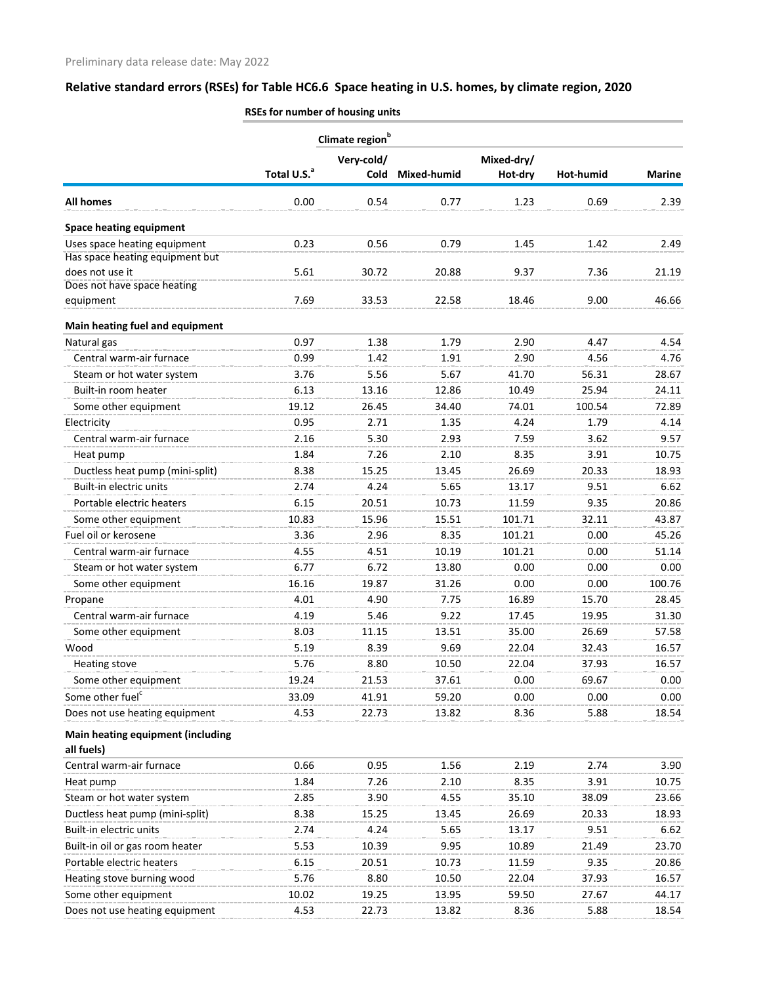| Very-cold/<br>Mixed-dry/<br>Total U.S. <sup>a</sup><br><b>Cold</b><br>Mixed-humid<br>Hot-dry<br>Hot-humid<br><b>All homes</b><br>0.00<br>0.54<br>0.77<br>1.23<br>0.69<br><b>Space heating equipment</b><br>Uses space heating equipment<br>0.23<br>0.56<br>0.79<br>1.42<br>1.45<br>Has space heating equipment but<br>does not use it<br>5.61<br>30.72<br>20.88<br>9.37<br>7.36<br>Does not have space heating<br>7.69<br>33.53<br>22.58<br>9.00<br>18.46<br>equipment<br>Main heating fuel and equipment<br>0.97<br>2.90<br>Natural gas<br>1.38<br>1.79<br>4.47<br>Central warm-air furnace<br>0.99<br>2.90<br>1.42<br>1.91<br>4.56<br>5.56<br>Steam or hot water system<br>3.76<br>5.67<br>41.70<br>56.31<br>25.94<br>Built-in room heater<br>6.13<br>13.16<br>12.86<br>10.49<br>19.12<br>Some other equipment<br>26.45<br>34.40<br>74.01<br>100.54<br>0.95<br>4.24<br>Electricity<br>2.71<br>1.35<br>1.79<br>Central warm-air furnace<br>2.16<br>5.30<br>2.93<br>7.59<br>3.62<br>1.84<br>2.10<br>8.35<br>3.91<br>7.26<br>Heat pump<br>Ductless heat pump (mini-split)<br>8.38<br>13.45<br>26.69<br>20.33<br>15.25<br>Built-in electric units<br>2.74<br>4.24<br>5.65<br>13.17<br>9.51<br>Portable electric heaters<br>6.15<br>20.51<br>10.73<br>9.35<br>11.59<br>101.71<br>32.11<br>Some other equipment<br>10.83<br>15.96<br>15.51<br>Fuel oil or kerosene<br>8.35<br>101.21<br>3.36<br>2.96<br>0.00<br>4.55<br>4.51<br>10.19<br>101.21<br>0.00<br>Central warm-air furnace<br>Steam or hot water system<br>6.77<br>6.72<br>13.80<br>0.00<br>0.00<br>16.16<br>19.87<br>31.26<br>0.00<br>0.00<br>Some other equipment<br>4.01<br>4.90<br>7.75<br>16.89<br>15.70<br>Propane<br>Central warm-air furnace<br>4.19<br>5.46<br>9.22<br>17.45<br>19.95<br>8.03<br>11.15<br>13.51<br>35.00<br>26.69<br>Some other equipment<br>5.19<br>9.69<br>Wood<br>8.39<br>22.04<br>32.43<br><b>Heating stove</b><br>5.76<br>8.80<br>10.50<br>22.04<br>37.93<br>Some other equipment<br>19.24<br>21.53<br>37.61<br>0.00<br>69.67<br>Some other fuel <sup>c</sup><br>33.09<br>41.91<br>59.20<br>0.00<br>0.00<br>Does not use heating equipment<br>4.53<br>22.73<br>13.82<br>8.36<br>5.88<br><b>Main heating equipment (including</b><br>all fuels)<br>Central warm-air furnace<br>0.66<br>2.19<br>2.74<br>0.95<br>1.56<br>3.91<br>1.84<br>7.26<br>2.10<br>8.35<br>Heat pump<br>Steam or hot water system<br>2.85<br>3.90<br>4.55<br>35.10<br>38.09 |               |
|-----------------------------------------------------------------------------------------------------------------------------------------------------------------------------------------------------------------------------------------------------------------------------------------------------------------------------------------------------------------------------------------------------------------------------------------------------------------------------------------------------------------------------------------------------------------------------------------------------------------------------------------------------------------------------------------------------------------------------------------------------------------------------------------------------------------------------------------------------------------------------------------------------------------------------------------------------------------------------------------------------------------------------------------------------------------------------------------------------------------------------------------------------------------------------------------------------------------------------------------------------------------------------------------------------------------------------------------------------------------------------------------------------------------------------------------------------------------------------------------------------------------------------------------------------------------------------------------------------------------------------------------------------------------------------------------------------------------------------------------------------------------------------------------------------------------------------------------------------------------------------------------------------------------------------------------------------------------------------------------------------------------------------------------------------------------------------------------------------------------------------------------------------------------------------------------------------------------------------------------------------------------------------------------------------------------------------------------------------------------------------------------------------------------------------------|---------------|
|                                                                                                                                                                                                                                                                                                                                                                                                                                                                                                                                                                                                                                                                                                                                                                                                                                                                                                                                                                                                                                                                                                                                                                                                                                                                                                                                                                                                                                                                                                                                                                                                                                                                                                                                                                                                                                                                                                                                                                                                                                                                                                                                                                                                                                                                                                                                                                                                                                   |               |
|                                                                                                                                                                                                                                                                                                                                                                                                                                                                                                                                                                                                                                                                                                                                                                                                                                                                                                                                                                                                                                                                                                                                                                                                                                                                                                                                                                                                                                                                                                                                                                                                                                                                                                                                                                                                                                                                                                                                                                                                                                                                                                                                                                                                                                                                                                                                                                                                                                   | <b>Marine</b> |
|                                                                                                                                                                                                                                                                                                                                                                                                                                                                                                                                                                                                                                                                                                                                                                                                                                                                                                                                                                                                                                                                                                                                                                                                                                                                                                                                                                                                                                                                                                                                                                                                                                                                                                                                                                                                                                                                                                                                                                                                                                                                                                                                                                                                                                                                                                                                                                                                                                   | 2.39          |
|                                                                                                                                                                                                                                                                                                                                                                                                                                                                                                                                                                                                                                                                                                                                                                                                                                                                                                                                                                                                                                                                                                                                                                                                                                                                                                                                                                                                                                                                                                                                                                                                                                                                                                                                                                                                                                                                                                                                                                                                                                                                                                                                                                                                                                                                                                                                                                                                                                   |               |
|                                                                                                                                                                                                                                                                                                                                                                                                                                                                                                                                                                                                                                                                                                                                                                                                                                                                                                                                                                                                                                                                                                                                                                                                                                                                                                                                                                                                                                                                                                                                                                                                                                                                                                                                                                                                                                                                                                                                                                                                                                                                                                                                                                                                                                                                                                                                                                                                                                   | 2.49          |
|                                                                                                                                                                                                                                                                                                                                                                                                                                                                                                                                                                                                                                                                                                                                                                                                                                                                                                                                                                                                                                                                                                                                                                                                                                                                                                                                                                                                                                                                                                                                                                                                                                                                                                                                                                                                                                                                                                                                                                                                                                                                                                                                                                                                                                                                                                                                                                                                                                   |               |
|                                                                                                                                                                                                                                                                                                                                                                                                                                                                                                                                                                                                                                                                                                                                                                                                                                                                                                                                                                                                                                                                                                                                                                                                                                                                                                                                                                                                                                                                                                                                                                                                                                                                                                                                                                                                                                                                                                                                                                                                                                                                                                                                                                                                                                                                                                                                                                                                                                   | 21.19         |
|                                                                                                                                                                                                                                                                                                                                                                                                                                                                                                                                                                                                                                                                                                                                                                                                                                                                                                                                                                                                                                                                                                                                                                                                                                                                                                                                                                                                                                                                                                                                                                                                                                                                                                                                                                                                                                                                                                                                                                                                                                                                                                                                                                                                                                                                                                                                                                                                                                   |               |
|                                                                                                                                                                                                                                                                                                                                                                                                                                                                                                                                                                                                                                                                                                                                                                                                                                                                                                                                                                                                                                                                                                                                                                                                                                                                                                                                                                                                                                                                                                                                                                                                                                                                                                                                                                                                                                                                                                                                                                                                                                                                                                                                                                                                                                                                                                                                                                                                                                   | 46.66         |
|                                                                                                                                                                                                                                                                                                                                                                                                                                                                                                                                                                                                                                                                                                                                                                                                                                                                                                                                                                                                                                                                                                                                                                                                                                                                                                                                                                                                                                                                                                                                                                                                                                                                                                                                                                                                                                                                                                                                                                                                                                                                                                                                                                                                                                                                                                                                                                                                                                   |               |
|                                                                                                                                                                                                                                                                                                                                                                                                                                                                                                                                                                                                                                                                                                                                                                                                                                                                                                                                                                                                                                                                                                                                                                                                                                                                                                                                                                                                                                                                                                                                                                                                                                                                                                                                                                                                                                                                                                                                                                                                                                                                                                                                                                                                                                                                                                                                                                                                                                   | 4.54          |
|                                                                                                                                                                                                                                                                                                                                                                                                                                                                                                                                                                                                                                                                                                                                                                                                                                                                                                                                                                                                                                                                                                                                                                                                                                                                                                                                                                                                                                                                                                                                                                                                                                                                                                                                                                                                                                                                                                                                                                                                                                                                                                                                                                                                                                                                                                                                                                                                                                   | 4.76          |
|                                                                                                                                                                                                                                                                                                                                                                                                                                                                                                                                                                                                                                                                                                                                                                                                                                                                                                                                                                                                                                                                                                                                                                                                                                                                                                                                                                                                                                                                                                                                                                                                                                                                                                                                                                                                                                                                                                                                                                                                                                                                                                                                                                                                                                                                                                                                                                                                                                   | 28.67         |
|                                                                                                                                                                                                                                                                                                                                                                                                                                                                                                                                                                                                                                                                                                                                                                                                                                                                                                                                                                                                                                                                                                                                                                                                                                                                                                                                                                                                                                                                                                                                                                                                                                                                                                                                                                                                                                                                                                                                                                                                                                                                                                                                                                                                                                                                                                                                                                                                                                   | 24.11         |
|                                                                                                                                                                                                                                                                                                                                                                                                                                                                                                                                                                                                                                                                                                                                                                                                                                                                                                                                                                                                                                                                                                                                                                                                                                                                                                                                                                                                                                                                                                                                                                                                                                                                                                                                                                                                                                                                                                                                                                                                                                                                                                                                                                                                                                                                                                                                                                                                                                   | 72.89         |
|                                                                                                                                                                                                                                                                                                                                                                                                                                                                                                                                                                                                                                                                                                                                                                                                                                                                                                                                                                                                                                                                                                                                                                                                                                                                                                                                                                                                                                                                                                                                                                                                                                                                                                                                                                                                                                                                                                                                                                                                                                                                                                                                                                                                                                                                                                                                                                                                                                   | 4.14          |
|                                                                                                                                                                                                                                                                                                                                                                                                                                                                                                                                                                                                                                                                                                                                                                                                                                                                                                                                                                                                                                                                                                                                                                                                                                                                                                                                                                                                                                                                                                                                                                                                                                                                                                                                                                                                                                                                                                                                                                                                                                                                                                                                                                                                                                                                                                                                                                                                                                   | 9.57          |
|                                                                                                                                                                                                                                                                                                                                                                                                                                                                                                                                                                                                                                                                                                                                                                                                                                                                                                                                                                                                                                                                                                                                                                                                                                                                                                                                                                                                                                                                                                                                                                                                                                                                                                                                                                                                                                                                                                                                                                                                                                                                                                                                                                                                                                                                                                                                                                                                                                   | 10.75         |
|                                                                                                                                                                                                                                                                                                                                                                                                                                                                                                                                                                                                                                                                                                                                                                                                                                                                                                                                                                                                                                                                                                                                                                                                                                                                                                                                                                                                                                                                                                                                                                                                                                                                                                                                                                                                                                                                                                                                                                                                                                                                                                                                                                                                                                                                                                                                                                                                                                   | 18.93         |
|                                                                                                                                                                                                                                                                                                                                                                                                                                                                                                                                                                                                                                                                                                                                                                                                                                                                                                                                                                                                                                                                                                                                                                                                                                                                                                                                                                                                                                                                                                                                                                                                                                                                                                                                                                                                                                                                                                                                                                                                                                                                                                                                                                                                                                                                                                                                                                                                                                   | 6.62          |
|                                                                                                                                                                                                                                                                                                                                                                                                                                                                                                                                                                                                                                                                                                                                                                                                                                                                                                                                                                                                                                                                                                                                                                                                                                                                                                                                                                                                                                                                                                                                                                                                                                                                                                                                                                                                                                                                                                                                                                                                                                                                                                                                                                                                                                                                                                                                                                                                                                   | 20.86         |
|                                                                                                                                                                                                                                                                                                                                                                                                                                                                                                                                                                                                                                                                                                                                                                                                                                                                                                                                                                                                                                                                                                                                                                                                                                                                                                                                                                                                                                                                                                                                                                                                                                                                                                                                                                                                                                                                                                                                                                                                                                                                                                                                                                                                                                                                                                                                                                                                                                   | 43.87         |
|                                                                                                                                                                                                                                                                                                                                                                                                                                                                                                                                                                                                                                                                                                                                                                                                                                                                                                                                                                                                                                                                                                                                                                                                                                                                                                                                                                                                                                                                                                                                                                                                                                                                                                                                                                                                                                                                                                                                                                                                                                                                                                                                                                                                                                                                                                                                                                                                                                   | 45.26         |
|                                                                                                                                                                                                                                                                                                                                                                                                                                                                                                                                                                                                                                                                                                                                                                                                                                                                                                                                                                                                                                                                                                                                                                                                                                                                                                                                                                                                                                                                                                                                                                                                                                                                                                                                                                                                                                                                                                                                                                                                                                                                                                                                                                                                                                                                                                                                                                                                                                   | 51.14         |
|                                                                                                                                                                                                                                                                                                                                                                                                                                                                                                                                                                                                                                                                                                                                                                                                                                                                                                                                                                                                                                                                                                                                                                                                                                                                                                                                                                                                                                                                                                                                                                                                                                                                                                                                                                                                                                                                                                                                                                                                                                                                                                                                                                                                                                                                                                                                                                                                                                   | 0.00          |
|                                                                                                                                                                                                                                                                                                                                                                                                                                                                                                                                                                                                                                                                                                                                                                                                                                                                                                                                                                                                                                                                                                                                                                                                                                                                                                                                                                                                                                                                                                                                                                                                                                                                                                                                                                                                                                                                                                                                                                                                                                                                                                                                                                                                                                                                                                                                                                                                                                   | 100.76        |
|                                                                                                                                                                                                                                                                                                                                                                                                                                                                                                                                                                                                                                                                                                                                                                                                                                                                                                                                                                                                                                                                                                                                                                                                                                                                                                                                                                                                                                                                                                                                                                                                                                                                                                                                                                                                                                                                                                                                                                                                                                                                                                                                                                                                                                                                                                                                                                                                                                   | 28.45         |
|                                                                                                                                                                                                                                                                                                                                                                                                                                                                                                                                                                                                                                                                                                                                                                                                                                                                                                                                                                                                                                                                                                                                                                                                                                                                                                                                                                                                                                                                                                                                                                                                                                                                                                                                                                                                                                                                                                                                                                                                                                                                                                                                                                                                                                                                                                                                                                                                                                   | 31.30         |
|                                                                                                                                                                                                                                                                                                                                                                                                                                                                                                                                                                                                                                                                                                                                                                                                                                                                                                                                                                                                                                                                                                                                                                                                                                                                                                                                                                                                                                                                                                                                                                                                                                                                                                                                                                                                                                                                                                                                                                                                                                                                                                                                                                                                                                                                                                                                                                                                                                   | 57.58         |
|                                                                                                                                                                                                                                                                                                                                                                                                                                                                                                                                                                                                                                                                                                                                                                                                                                                                                                                                                                                                                                                                                                                                                                                                                                                                                                                                                                                                                                                                                                                                                                                                                                                                                                                                                                                                                                                                                                                                                                                                                                                                                                                                                                                                                                                                                                                                                                                                                                   | 16.57         |
|                                                                                                                                                                                                                                                                                                                                                                                                                                                                                                                                                                                                                                                                                                                                                                                                                                                                                                                                                                                                                                                                                                                                                                                                                                                                                                                                                                                                                                                                                                                                                                                                                                                                                                                                                                                                                                                                                                                                                                                                                                                                                                                                                                                                                                                                                                                                                                                                                                   | 16.57         |
|                                                                                                                                                                                                                                                                                                                                                                                                                                                                                                                                                                                                                                                                                                                                                                                                                                                                                                                                                                                                                                                                                                                                                                                                                                                                                                                                                                                                                                                                                                                                                                                                                                                                                                                                                                                                                                                                                                                                                                                                                                                                                                                                                                                                                                                                                                                                                                                                                                   | 0.00          |
|                                                                                                                                                                                                                                                                                                                                                                                                                                                                                                                                                                                                                                                                                                                                                                                                                                                                                                                                                                                                                                                                                                                                                                                                                                                                                                                                                                                                                                                                                                                                                                                                                                                                                                                                                                                                                                                                                                                                                                                                                                                                                                                                                                                                                                                                                                                                                                                                                                   | 0.00          |
|                                                                                                                                                                                                                                                                                                                                                                                                                                                                                                                                                                                                                                                                                                                                                                                                                                                                                                                                                                                                                                                                                                                                                                                                                                                                                                                                                                                                                                                                                                                                                                                                                                                                                                                                                                                                                                                                                                                                                                                                                                                                                                                                                                                                                                                                                                                                                                                                                                   | 18.54         |
|                                                                                                                                                                                                                                                                                                                                                                                                                                                                                                                                                                                                                                                                                                                                                                                                                                                                                                                                                                                                                                                                                                                                                                                                                                                                                                                                                                                                                                                                                                                                                                                                                                                                                                                                                                                                                                                                                                                                                                                                                                                                                                                                                                                                                                                                                                                                                                                                                                   |               |
|                                                                                                                                                                                                                                                                                                                                                                                                                                                                                                                                                                                                                                                                                                                                                                                                                                                                                                                                                                                                                                                                                                                                                                                                                                                                                                                                                                                                                                                                                                                                                                                                                                                                                                                                                                                                                                                                                                                                                                                                                                                                                                                                                                                                                                                                                                                                                                                                                                   |               |
|                                                                                                                                                                                                                                                                                                                                                                                                                                                                                                                                                                                                                                                                                                                                                                                                                                                                                                                                                                                                                                                                                                                                                                                                                                                                                                                                                                                                                                                                                                                                                                                                                                                                                                                                                                                                                                                                                                                                                                                                                                                                                                                                                                                                                                                                                                                                                                                                                                   | 3.90          |
|                                                                                                                                                                                                                                                                                                                                                                                                                                                                                                                                                                                                                                                                                                                                                                                                                                                                                                                                                                                                                                                                                                                                                                                                                                                                                                                                                                                                                                                                                                                                                                                                                                                                                                                                                                                                                                                                                                                                                                                                                                                                                                                                                                                                                                                                                                                                                                                                                                   | 10.75         |
|                                                                                                                                                                                                                                                                                                                                                                                                                                                                                                                                                                                                                                                                                                                                                                                                                                                                                                                                                                                                                                                                                                                                                                                                                                                                                                                                                                                                                                                                                                                                                                                                                                                                                                                                                                                                                                                                                                                                                                                                                                                                                                                                                                                                                                                                                                                                                                                                                                   | 23.66         |
| Ductless heat pump (mini-split)<br>8.38<br>15.25<br>13.45<br>26.69<br>20.33                                                                                                                                                                                                                                                                                                                                                                                                                                                                                                                                                                                                                                                                                                                                                                                                                                                                                                                                                                                                                                                                                                                                                                                                                                                                                                                                                                                                                                                                                                                                                                                                                                                                                                                                                                                                                                                                                                                                                                                                                                                                                                                                                                                                                                                                                                                                                       | 18.93         |
| Built-in electric units<br>2.74<br>4.24<br>5.65<br>9.51<br>13.17                                                                                                                                                                                                                                                                                                                                                                                                                                                                                                                                                                                                                                                                                                                                                                                                                                                                                                                                                                                                                                                                                                                                                                                                                                                                                                                                                                                                                                                                                                                                                                                                                                                                                                                                                                                                                                                                                                                                                                                                                                                                                                                                                                                                                                                                                                                                                                  | 6.62          |
| Built-in oil or gas room heater<br>5.53<br>10.39<br>9.95<br>10.89<br>21.49                                                                                                                                                                                                                                                                                                                                                                                                                                                                                                                                                                                                                                                                                                                                                                                                                                                                                                                                                                                                                                                                                                                                                                                                                                                                                                                                                                                                                                                                                                                                                                                                                                                                                                                                                                                                                                                                                                                                                                                                                                                                                                                                                                                                                                                                                                                                                        | 23.70         |
| 10.73<br>Portable electric heaters<br>6.15<br>20.51<br>11.59<br>9.35                                                                                                                                                                                                                                                                                                                                                                                                                                                                                                                                                                                                                                                                                                                                                                                                                                                                                                                                                                                                                                                                                                                                                                                                                                                                                                                                                                                                                                                                                                                                                                                                                                                                                                                                                                                                                                                                                                                                                                                                                                                                                                                                                                                                                                                                                                                                                              | 20.86         |
| Heating stove burning wood<br>5.76<br>8.80<br>10.50<br>22.04<br>37.93                                                                                                                                                                                                                                                                                                                                                                                                                                                                                                                                                                                                                                                                                                                                                                                                                                                                                                                                                                                                                                                                                                                                                                                                                                                                                                                                                                                                                                                                                                                                                                                                                                                                                                                                                                                                                                                                                                                                                                                                                                                                                                                                                                                                                                                                                                                                                             | 16.57         |
| Some other equipment<br>10.02<br>19.25<br>13.95<br>59.50<br>27.67                                                                                                                                                                                                                                                                                                                                                                                                                                                                                                                                                                                                                                                                                                                                                                                                                                                                                                                                                                                                                                                                                                                                                                                                                                                                                                                                                                                                                                                                                                                                                                                                                                                                                                                                                                                                                                                                                                                                                                                                                                                                                                                                                                                                                                                                                                                                                                 | 44.17         |
| 4.53<br>5.88<br>Does not use heating equipment<br>22.73<br>13.82<br>8.36                                                                                                                                                                                                                                                                                                                                                                                                                                                                                                                                                                                                                                                                                                                                                                                                                                                                                                                                                                                                                                                                                                                                                                                                                                                                                                                                                                                                                                                                                                                                                                                                                                                                                                                                                                                                                                                                                                                                                                                                                                                                                                                                                                                                                                                                                                                                                          | 18.54         |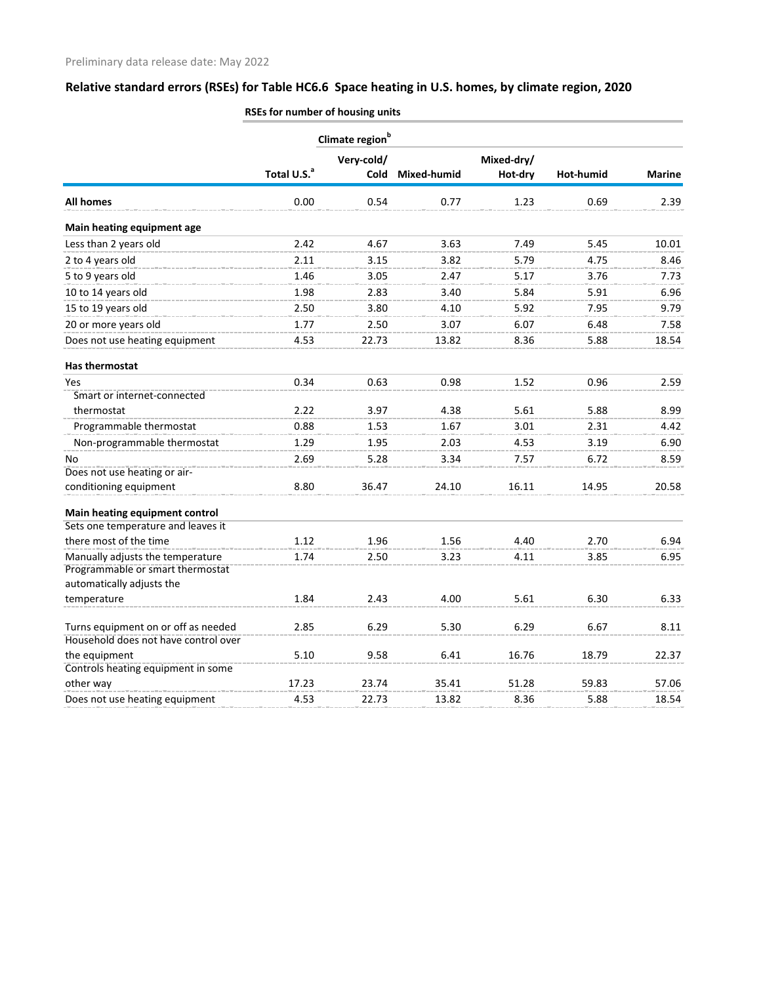|                                                                      |                         | Climate region <sup>b</sup> |             |            |           |               |
|----------------------------------------------------------------------|-------------------------|-----------------------------|-------------|------------|-----------|---------------|
|                                                                      |                         | Very-cold/                  |             | Mixed-dry/ |           |               |
|                                                                      | Total U.S. <sup>a</sup> | Cold                        | Mixed-humid | Hot-dry    | Hot-humid | <b>Marine</b> |
| <b>All homes</b>                                                     | 0.00                    | 0.54                        | 0.77        | 1.23       | 0.69      | 2.39          |
| Main heating equipment age                                           |                         |                             |             |            |           |               |
| Less than 2 years old                                                | 2.42                    | 4.67                        | 3.63        | 7.49       | 5.45      | 10.01         |
| 2 to 4 years old                                                     | 2.11                    | 3.15                        | 3.82        | 5.79       | 4.75      | 8.46          |
| 5 to 9 years old                                                     | 1.46                    | 3.05                        | 2.47        | 5.17       | 3.76      | 7.73          |
| 10 to 14 years old                                                   | 1.98                    | 2.83                        | 3.40        | 5.84       | 5.91      | 6.96          |
| 15 to 19 years old                                                   | 2.50                    | 3.80                        | 4.10        | 5.92       | 7.95      | 9.79          |
| 20 or more years old                                                 | 1.77                    | 2.50                        | 3.07        | 6.07       | 6.48      | 7.58          |
| Does not use heating equipment                                       | 4.53                    | 22.73                       | 13.82       | 8.36       | 5.88      | 18.54         |
| <b>Has thermostat</b>                                                |                         |                             |             |            |           |               |
| Yes                                                                  | 0.34                    | 0.63                        | 0.98        | 1.52       | 0.96      | 2.59          |
| Smart or internet-connected                                          |                         |                             |             |            |           |               |
| thermostat                                                           | 2.22                    | 3.97                        | 4.38        | 5.61       | 5.88      | 8.99          |
| Programmable thermostat                                              | 0.88                    | 1.53                        | 1.67        | 3.01       | 2.31      | 4.42          |
| Non-programmable thermostat                                          | 1.29                    | 1.95                        | 2.03        | 4.53       | 3.19      | 6.90          |
| No                                                                   | 2.69                    | 5.28                        | 3.34        | 7.57       | 6.72      | 8.59          |
| Does not use heating or air-                                         |                         |                             |             |            |           |               |
| conditioning equipment                                               | 8.80                    | 36.47                       | 24.10       | 16.11      | 14.95     | 20.58         |
| Main heating equipment control                                       |                         |                             |             |            |           |               |
| Sets one temperature and leaves it                                   |                         |                             |             |            |           |               |
| there most of the time                                               | 1.12                    | 1.96                        | 1.56        | 4.40       | 2.70      | 6.94          |
| Manually adjusts the temperature<br>Programmable or smart thermostat | 1.74                    | 2.50                        | 3.23        | 4.11       | 3.85      | 6.95          |
| automatically adjusts the                                            |                         |                             |             |            |           |               |
| temperature                                                          | 1.84                    | 2.43                        | 4.00        | 5.61       | 6.30      | 6.33          |
| Turns equipment on or off as needed                                  | 2.85                    | 6.29                        | 5.30        | 6.29       | 6.67      | 8.11          |
| Household does not have control over                                 |                         |                             |             |            |           |               |
| the equipment                                                        | 5.10                    | 9.58                        | 6.41        | 16.76      | 18.79     | 22.37         |
| Controls heating equipment in some                                   |                         |                             |             |            |           |               |
| other way                                                            | 17.23                   | 23.74                       | 35.41       | 51.28      | 59.83     | 57.06         |
| Does not use heating equipment                                       | 4.53                    | 22.73                       | 13.82       | 8.36       | 5.88      | 18.54         |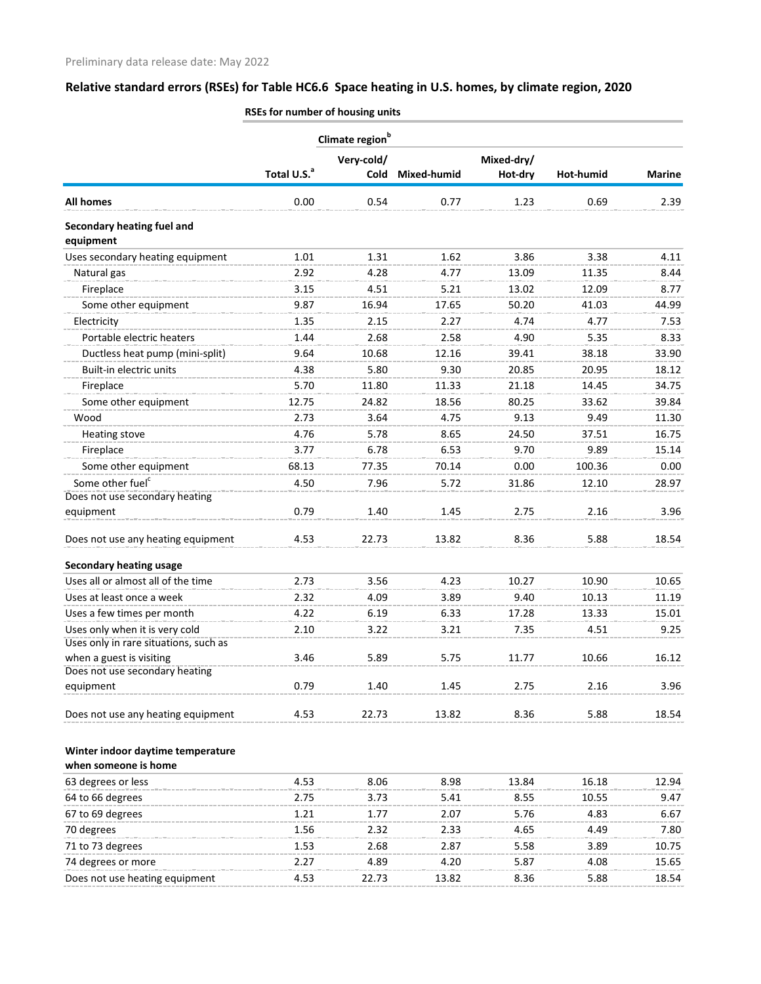|                                         | Climate region <sup>b</sup> |             |             |            |           |               |
|-----------------------------------------|-----------------------------|-------------|-------------|------------|-----------|---------------|
|                                         |                             | Very-cold/  |             | Mixed-dry/ |           |               |
|                                         | Total U.S. <sup>a</sup>     | <b>Cold</b> | Mixed-humid | Hot-dry    | Hot-humid | <b>Marine</b> |
| <b>All homes</b>                        | 0.00                        | 0.54        | 0.77        | 1.23       | 0.69      | 2.39          |
| Secondary heating fuel and<br>equipment |                             |             |             |            |           |               |
| Uses secondary heating equipment        | 1.01                        | 1.31        | 1.62        | 3.86       | 3.38      | 4.11          |
| Natural gas                             | 2.92                        | 4.28        | 4.77        | 13.09      | 11.35     | 8.44          |
| Fireplace                               | 3.15                        | 4.51        | 5.21        | 13.02      | 12.09     | 8.77          |
| Some other equipment                    | 9.87                        | 16.94       | 17.65       | 50.20      | 41.03     | 44.99         |
| Electricity                             | 1.35                        | 2.15        | 2.27        | 4.74       | 4.77      | 7.53          |
| Portable electric heaters               | 1.44                        | 2.68        | 2.58        | 4.90       | 5.35      | 8.33          |
| Ductless heat pump (mini-split)         | 9.64                        | 10.68       | 12.16       | 39.41      | 38.18     | 33.90         |
| Built-in electric units                 | 4.38                        | 5.80        | 9.30        | 20.85      | 20.95     | 18.12         |
| Fireplace                               | 5.70                        | 11.80       | 11.33       | 21.18      | 14.45     | 34.75         |
| Some other equipment                    | 12.75                       | 24.82       | 18.56       | 80.25      | 33.62     | 39.84         |
| Wood                                    | 2.73                        | 3.64        | 4.75        | 9.13       | 9.49      | 11.30         |
| <b>Heating stove</b>                    | 4.76                        | 5.78        | 8.65        | 24.50      | 37.51     | 16.75         |
| Fireplace                               | 3.77                        | 6.78        | 6.53        | 9.70       | 9.89      | 15.14         |
| Some other equipment                    | 68.13                       | 77.35       | 70.14       | 0.00       | 100.36    | 0.00          |
| Some other fuel <sup>c</sup>            | 4.50                        | 7.96        | 5.72        | 31.86      | 12.10     | 28.97         |
| Does not use secondary heating          |                             |             |             |            |           |               |
| equipment                               | 0.79                        | 1.40        | 1.45        | 2.75       | 2.16      | 3.96          |
| Does not use any heating equipment      | 4.53                        | 22.73       | 13.82       | 8.36       | 5.88      | 18.54         |
| <b>Secondary heating usage</b>          |                             |             |             |            |           |               |
| Uses all or almost all of the time      | 2.73                        | 3.56        | 4.23        | 10.27      | 10.90     | 10.65         |
| Uses at least once a week               | 2.32                        | 4.09        | 3.89        | 9.40       | 10.13     | 11.19         |
| Uses a few times per month              | 4.22                        | 6.19        | 6.33        | 17.28      | 13.33     | 15.01         |
| Uses only when it is very cold          | 2.10                        | 3.22        | 3.21        | 7.35       | 4.51      | 9.25          |
| Uses only in rare situations, such as   |                             |             |             |            |           |               |
| when a guest is visiting                | 3.46                        | 5.89        | 5.75        | 11.77      | 10.66     | 16.12         |
| Does not use secondary heating          |                             |             |             |            |           |               |
| equipment                               | 0.79                        | 1.40        | 1.45        | 2.75       | 2.16      | 3.96          |
| Does not use any heating equipment      | 4.53                        | 22.73       | 13.82       | 8.36       | 5.88      | 18.54         |
|                                         |                             |             |             |            |           |               |
| Winter indoor daytime temperature       |                             |             |             |            |           |               |
| when someone is home                    |                             |             |             |            |           |               |
| 63 degrees or less                      | 4.53                        | 8.06        | 8.98        | 13.84      | 16.18     | 12.94         |
| 64 to 66 degrees                        | 2.75                        | 3.73        | 5.41        | 8.55       | 10.55     | 9.47          |
| 67 to 69 degrees                        | 1.21                        | 1.77        | 2.07        | 5.76       | 4.83      | 6.67          |
| 70 degrees                              | 1.56                        | 2.32        | 2.33        | 4.65       | 4.49      | 7.80          |
| 71 to 73 degrees                        | 1.53                        | 2.68        | 2.87        | 5.58       | 3.89      | 10.75         |
| 74 degrees or more                      | 2.27                        | 4.89        | 4.20        | 5.87       | 4.08      | 15.65         |

Does not use heating equipment 4.53 22.73 13.82 8.36 5.88 18.54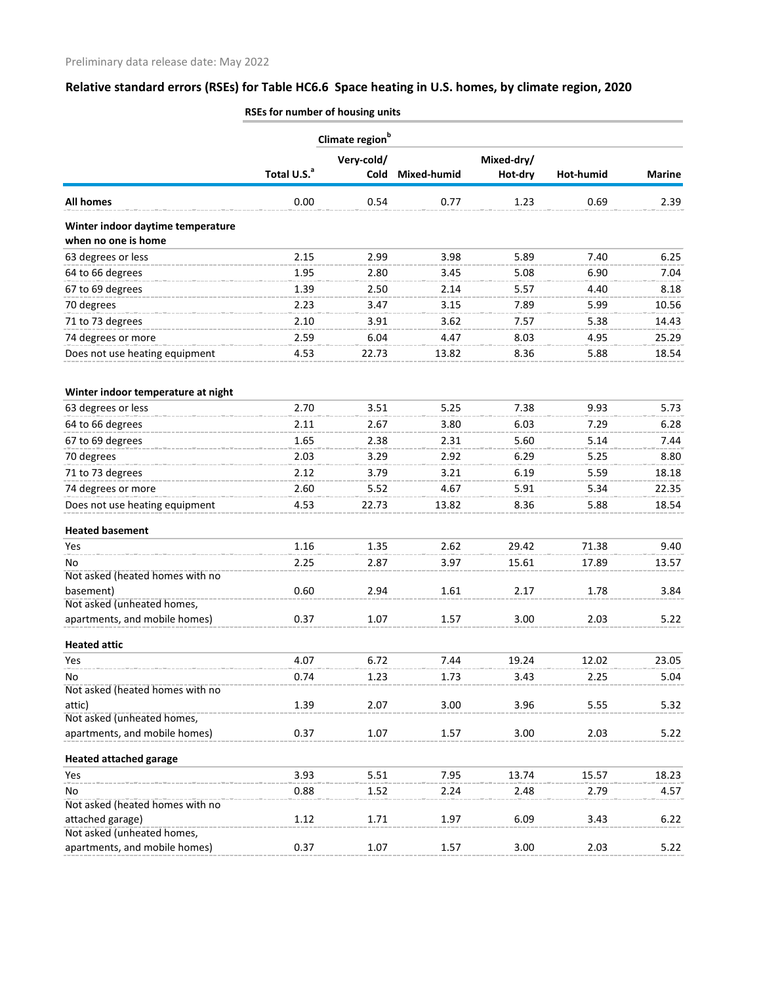|                                                | Climate region <sup>b</sup> |            |             |            |           |               |
|------------------------------------------------|-----------------------------|------------|-------------|------------|-----------|---------------|
|                                                |                             | Very-cold/ |             | Mixed-dry/ |           |               |
|                                                | Total U.S. <sup>a</sup>     | Cold       | Mixed-humid | Hot-dry    | Hot-humid | <b>Marine</b> |
| <b>All homes</b>                               | 0.00                        | 0.54       | 0.77        | 1.23       | 0.69      | 2.39          |
| Winter indoor daytime temperature              |                             |            |             |            |           |               |
| when no one is home                            |                             |            |             |            |           |               |
| 63 degrees or less                             | 2.15                        | 2.99       | 3.98        | 5.89       | 7.40      | 6.25          |
| 64 to 66 degrees                               | 1.95                        | 2.80       | 3.45        | 5.08       | 6.90      | 7.04          |
| 67 to 69 degrees                               | 1.39                        | 2.50       | 2.14        | 5.57       | 4.40      | 8.18          |
| 70 degrees                                     | 2.23                        | 3.47       | 3.15        | 7.89       | 5.99      | 10.56         |
| 71 to 73 degrees                               | 2.10                        | 3.91       | 3.62        | 7.57       | 5.38      | 14.43         |
| 74 degrees or more                             | 2.59                        | 6.04       | 4.47        | 8.03       | 4.95      | 25.29         |
| Does not use heating equipment                 | 4.53                        | 22.73      | 13.82       | 8.36       | 5.88      | 18.54         |
| Winter indoor temperature at night             |                             |            |             |            |           |               |
| 63 degrees or less                             | 2.70                        | 3.51       | 5.25        | 7.38       | 9.93      | 5.73          |
| 64 to 66 degrees                               | 2.11                        | 2.67       | 3.80        | 6.03       | 7.29      | 6.28          |
| 67 to 69 degrees                               | 1.65                        | 2.38       | 2.31        | 5.60       | 5.14      | 7.44          |
| 70 degrees                                     | 2.03                        | 3.29       | 2.92        | 6.29       | 5.25      | 8.80          |
| 71 to 73 degrees                               | 2.12                        | 3.79       | 3.21        | 6.19       | 5.59      | 18.18         |
| 74 degrees or more                             | 2.60                        | 5.52       | 4.67        | 5.91       | 5.34      | 22.35         |
| Does not use heating equipment                 | 4.53                        | 22.73      | 13.82       | 8.36       | 5.88      | 18.54         |
| <b>Heated basement</b>                         |                             |            |             |            |           |               |
| Yes                                            | 1.16                        | 1.35       | 2.62        | 29.42      | 71.38     | 9.40          |
| No                                             | 2.25                        | 2.87       | 3.97        | 15.61      | 17.89     | 13.57         |
| Not asked (heated homes with no                |                             |            |             |            |           |               |
| basement)                                      | 0.60                        | 2.94       | 1.61        | 2.17       | 1.78      | 3.84          |
| Not asked (unheated homes,                     |                             |            |             |            |           |               |
| apartments, and mobile homes)                  | 0.37                        | 1.07       | 1.57        | 3.00       | 2.03      | 5.22          |
| <b>Heated attic</b>                            |                             |            |             |            |           |               |
| Yes                                            | 4.07                        | 6.72       | 7.44        | 19.24      | 12.02     | 23.05         |
| No                                             | 0.74                        | 1.23       | 1.73        | 3.43       | 2.25      | 5.04          |
| Not asked (heated homes with no                |                             |            |             |            |           |               |
| attic)<br>Not asked (unheated homes,           | 1.39                        | 2.07       | 3.00        | 3.96       | 5.55      | 5.32          |
| apartments, and mobile homes)                  | 0.37                        | 1.07       | 1.57        | 3.00       | 2.03      | 5.22          |
| <b>Heated attached garage</b>                  |                             |            |             |            |           |               |
| Yes                                            | 3.93                        | 5.51       | 7.95        | 13.74      | 15.57     | 18.23         |
| No                                             | 0.88                        | 1.52       | 2.24        | 2.48       | 2.79      | 4.57          |
| Not asked (heated homes with no                |                             |            |             |            |           |               |
| attached garage)<br>Not asked (unheated homes, | 1.12                        | 1.71       | 1.97        | 6.09       | 3.43      | 6.22          |
| apartments, and mobile homes)                  | 0.37                        | 1.07       | 1.57        | 3.00       | 2.03      | 5.22          |
|                                                |                             |            |             |            |           |               |